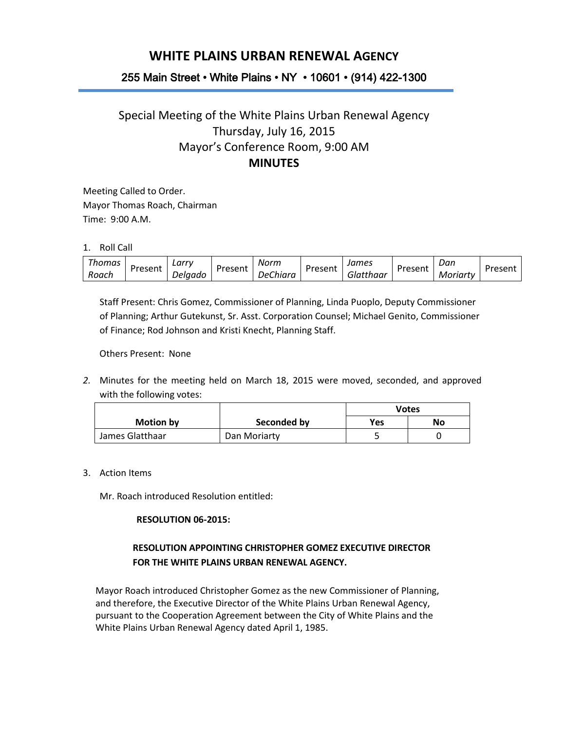# **WHITE PLAINS URBAN RENEWAL AGENCY**

## 255 Main Street • White Plains • NY • 10601 • (914) 422-1300

## Special Meeting of the White Plains Urban Renewal Agency Thursday, July 16, 2015 Mayor's Conference Room, 9:00 AM **MINUTES**

Meeting Called to Order. Mayor Thomas Roach, Chairman Time: 9:00 A.M.

1. Roll Call

| homas | Present  | ∟arrv   | Present | Norm           | Present<br>້ | James                   | Present | Dan      | " In a can't |
|-------|----------|---------|---------|----------------|--------------|-------------------------|---------|----------|--------------|
| Roach | י כאכוונ | Jelaado |         | Chiara<br>Jer. |              | .<br>atthaar<br>. 7111. |         | Moriartv |              |

Staff Present: Chris Gomez, Commissioner of Planning, Linda Puoplo, Deputy Commissioner of Planning; Arthur Gutekunst, Sr. Asst. Corporation Counsel; Michael Genito, Commissioner of Finance; Rod Johnson and Kristi Knecht, Planning Staff.

Others Present: None

*2.* Minutes for the meeting held on March 18, 2015 were moved, seconded, and approved with the following votes:

|                  |              | Votes |    |
|------------------|--------------|-------|----|
| <b>Motion by</b> | Seconded by  | Yes   | No |
| James Glatthaar  | Dan Moriarty |       |    |

3. Action Items

Mr. Roach introduced Resolution entitled:

#### **RESOLUTION 06-2015:**

## **RESOLUTION APPOINTING CHRISTOPHER GOMEZ EXECUTIVE DIRECTOR FOR THE WHITE PLAINS URBAN RENEWAL AGENCY.**

Mayor Roach introduced Christopher Gomez as the new Commissioner of Planning, and therefore, the Executive Director of the White Plains Urban Renewal Agency, pursuant to the Cooperation Agreement between the City of White Plains and the White Plains Urban Renewal Agency dated April 1, 1985.